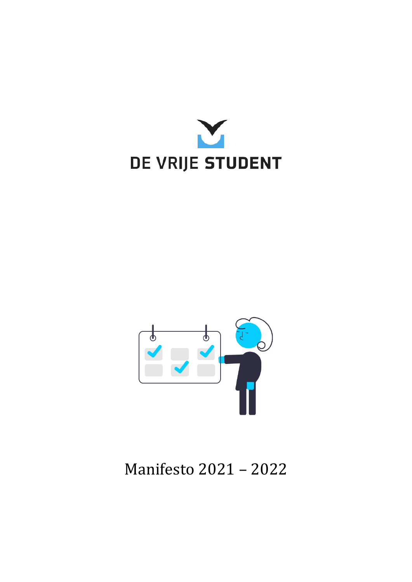



# Manifesto 2021 – 2022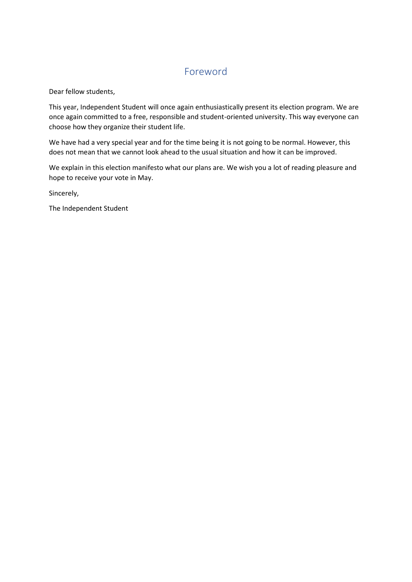# Foreword

Dear fellow students,

This year, Independent Student will once again enthusiastically present its election program. We are once again committed to a free, responsible and student-oriented university. This way everyone can choose how they organize their student life.

We have had a very special year and for the time being it is not going to be normal. However, this does not mean that we cannot look ahead to the usual situation and how it can be improved.

We explain in this election manifesto what our plans are. We wish you a lot of reading pleasure and hope to receive your vote in May.

Sincerely,

The Independent Student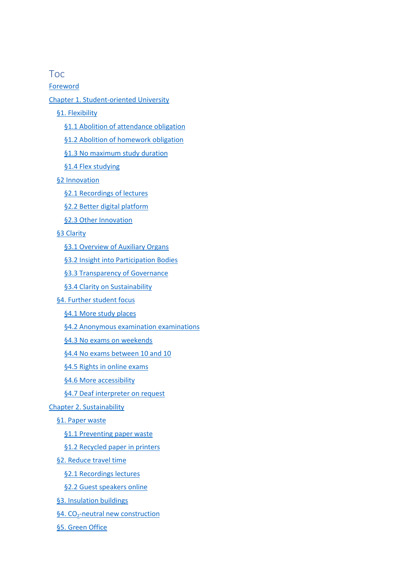# Toc

[Foreword](https://www.translatoruser.net/bvsandbox.aspx?&from=nl&to=en&csId=8e9844b9-23a0-4a61-8589-f0413136304d&usId=3fb7a523-44da-4d56-a368-a69e724a6671&bvrpx=true&bvrpp=&dt=2021%2F3%2F9%2017%3A59#_Toc64667820)

#### [Chapter 1. Student-oriented University](https://www.translatoruser.net/bvsandbox.aspx?&from=nl&to=en&csId=8e9844b9-23a0-4a61-8589-f0413136304d&usId=3fb7a523-44da-4d56-a368-a69e724a6671&bvrpx=true&bvrpp=&dt=2021%2F3%2F9%2017%3A59#_Toc64667821)

- [§1. Flexibility](https://www.translatoruser.net/bvsandbox.aspx?&from=nl&to=en&csId=8e9844b9-23a0-4a61-8589-f0413136304d&usId=3fb7a523-44da-4d56-a368-a69e724a6671&bvrpx=true&bvrpp=&dt=2021%2F3%2F9%2017%3A59#_Toc64667822)
	- [§1.1 Abolition of attendance obligation](https://www.translatoruser.net/bvsandbox.aspx?&from=nl&to=en&csId=8e9844b9-23a0-4a61-8589-f0413136304d&usId=3fb7a523-44da-4d56-a368-a69e724a6671&bvrpx=true&bvrpp=&dt=2021%2F3%2F9%2017%3A59#_Toc64667823)
	- [§1.2 Abolition of homework obligation](https://www.translatoruser.net/bvsandbox.aspx?&from=nl&to=en&csId=8e9844b9-23a0-4a61-8589-f0413136304d&usId=3fb7a523-44da-4d56-a368-a69e724a6671&bvrpx=true&bvrpp=&dt=2021%2F3%2F9%2017%3A59#_Toc64667824)
	- [§1.3 No maximum](https://www.translatoruser.net/bvsandbox.aspx?&from=nl&to=en&csId=8e9844b9-23a0-4a61-8589-f0413136304d&usId=3fb7a523-44da-4d56-a368-a69e724a6671&bvrpx=true&bvrpp=&dt=2021%2F3%2F9%2017%3A59#_Toc64667825) study duration
	- [§1.4 Flex studying](https://www.translatoruser.net/bvsandbox.aspx?&from=nl&to=en&csId=8e9844b9-23a0-4a61-8589-f0413136304d&usId=3fb7a523-44da-4d56-a368-a69e724a6671&bvrpx=true&bvrpp=&dt=2021%2F3%2F9%2017%3A59#_Toc64667826)
- [§2 Innovation](https://www.translatoruser.net/bvsandbox.aspx?&from=nl&to=en&csId=8e9844b9-23a0-4a61-8589-f0413136304d&usId=3fb7a523-44da-4d56-a368-a69e724a6671&bvrpx=true&bvrpp=&dt=2021%2F3%2F9%2017%3A59#_Toc64667827)
	- [§2.1 Recordings of lectures](https://www.translatoruser.net/bvsandbox.aspx?&from=nl&to=en&csId=8e9844b9-23a0-4a61-8589-f0413136304d&usId=3fb7a523-44da-4d56-a368-a69e724a6671&bvrpx=true&bvrpp=&dt=2021%2F3%2F9%2017%3A59#_Toc64667828)
	- [§2.2 Better digital platform](https://www.translatoruser.net/bvsandbox.aspx?&from=nl&to=en&csId=8e9844b9-23a0-4a61-8589-f0413136304d&usId=3fb7a523-44da-4d56-a368-a69e724a6671&bvrpx=true&bvrpp=&dt=2021%2F3%2F9%2017%3A59#_Toc64667829)
	- [§2.3 Other Innovation](https://www.translatoruser.net/bvsandbox.aspx?&from=nl&to=en&csId=8e9844b9-23a0-4a61-8589-f0413136304d&usId=3fb7a523-44da-4d56-a368-a69e724a6671&bvrpx=true&bvrpp=&dt=2021%2F3%2F9%2017%3A59#_Toc64667830)

#### [§3 Clarity](https://www.translatoruser.net/bvsandbox.aspx?&from=nl&to=en&csId=8e9844b9-23a0-4a61-8589-f0413136304d&usId=3fb7a523-44da-4d56-a368-a69e724a6671&bvrpx=true&bvrpp=&dt=2021%2F3%2F9%2017%3A59#_Toc64667831)

- [§3.1 Overview of Auxiliary Organs](https://www.translatoruser.net/bvsandbox.aspx?&from=nl&to=en&csId=8e9844b9-23a0-4a61-8589-f0413136304d&usId=3fb7a523-44da-4d56-a368-a69e724a6671&bvrpx=true&bvrpp=&dt=2021%2F3%2F9%2017%3A59#_Toc64667832)
- [§3.2 Insight into Participation Bodies](https://www.translatoruser.net/bvsandbox.aspx?&from=nl&to=en&csId=8e9844b9-23a0-4a61-8589-f0413136304d&usId=3fb7a523-44da-4d56-a368-a69e724a6671&bvrpx=true&bvrpp=&dt=2021%2F3%2F9%2017%3A59#_Toc64667833)
- [§3.3 Transparency of Governance](https://www.translatoruser.net/bvsandbox.aspx?&from=nl&to=en&csId=8e9844b9-23a0-4a61-8589-f0413136304d&usId=3fb7a523-44da-4d56-a368-a69e724a6671&bvrpx=true&bvrpp=&dt=2021%2F3%2F9%2017%3A59#_Toc64667834)
- [§3.4 Clarity on Sustainability](https://www.translatoruser.net/bvsandbox.aspx?&from=nl&to=en&csId=8e9844b9-23a0-4a61-8589-f0413136304d&usId=3fb7a523-44da-4d56-a368-a69e724a6671&bvrpx=true&bvrpp=&dt=2021%2F3%2F9%2017%3A59#_Toc64667835)
- [§4. Further student focus](https://www.translatoruser.net/bvsandbox.aspx?&from=nl&to=en&csId=8e9844b9-23a0-4a61-8589-f0413136304d&usId=3fb7a523-44da-4d56-a368-a69e724a6671&bvrpx=true&bvrpp=&dt=2021%2F3%2F9%2017%3A59#_Toc64667836)
	- [§4.1 More study places](https://www.translatoruser.net/bvsandbox.aspx?&from=nl&to=en&csId=8e9844b9-23a0-4a61-8589-f0413136304d&usId=3fb7a523-44da-4d56-a368-a69e724a6671&bvrpx=true&bvrpp=&dt=2021%2F3%2F9%2017%3A59#_Toc64667837)
	- [§4.2 Anonymous examination examinations](https://www.translatoruser.net/bvsandbox.aspx?&from=nl&to=en&csId=8e9844b9-23a0-4a61-8589-f0413136304d&usId=3fb7a523-44da-4d56-a368-a69e724a6671&bvrpx=true&bvrpp=&dt=2021%2F3%2F9%2017%3A59#_Toc64667838)
	- [§4.3 No exams on weekends](https://www.translatoruser.net/bvsandbox.aspx?&from=nl&to=en&csId=8e9844b9-23a0-4a61-8589-f0413136304d&usId=3fb7a523-44da-4d56-a368-a69e724a6671&bvrpx=true&bvrpp=&dt=2021%2F3%2F9%2017%3A59#_Toc64667839)
	- [§4.4 No exams between 10 and 10](https://www.translatoruser.net/bvsandbox.aspx?&from=nl&to=en&csId=8e9844b9-23a0-4a61-8589-f0413136304d&usId=3fb7a523-44da-4d56-a368-a69e724a6671&bvrpx=true&bvrpp=&dt=2021%2F3%2F9%2017%3A59#_Toc64667840)
	- [§4.5 Rights in online exams](https://www.translatoruser.net/bvsandbox.aspx?&from=nl&to=en&csId=8e9844b9-23a0-4a61-8589-f0413136304d&usId=3fb7a523-44da-4d56-a368-a69e724a6671&bvrpx=true&bvrpp=&dt=2021%2F3%2F9%2017%3A59#_Toc64667841)
	- [§4.6 More accessibility](https://www.translatoruser.net/bvsandbox.aspx?&from=nl&to=en&csId=8e9844b9-23a0-4a61-8589-f0413136304d&usId=3fb7a523-44da-4d56-a368-a69e724a6671&bvrpx=true&bvrpp=&dt=2021%2F3%2F9%2017%3A59#_Toc64667842)
	- [§4.7 Deaf interpreter on request](https://www.translatoruser.net/bvsandbox.aspx?&from=nl&to=en&csId=8e9844b9-23a0-4a61-8589-f0413136304d&usId=3fb7a523-44da-4d56-a368-a69e724a6671&bvrpx=true&bvrpp=&dt=2021%2F3%2F9%2017%3A59#_Toc64667843)

### [Chapter 2. Sustainability](https://www.translatoruser.net/bvsandbox.aspx?&from=nl&to=en&csId=8e9844b9-23a0-4a61-8589-f0413136304d&usId=3fb7a523-44da-4d56-a368-a69e724a6671&bvrpx=true&bvrpp=&dt=2021%2F3%2F9%2017%3A59#_Toc64667844)

- [§1. Paper waste](https://www.translatoruser.net/bvsandbox.aspx?&from=nl&to=en&csId=8e9844b9-23a0-4a61-8589-f0413136304d&usId=3fb7a523-44da-4d56-a368-a69e724a6671&bvrpx=true&bvrpp=&dt=2021%2F3%2F9%2017%3A59#_Toc64667845)
	- [§1.1 Preventing paper waste](https://www.translatoruser.net/bvsandbox.aspx?&from=nl&to=en&csId=8e9844b9-23a0-4a61-8589-f0413136304d&usId=3fb7a523-44da-4d56-a368-a69e724a6671&bvrpx=true&bvrpp=&dt=2021%2F3%2F9%2017%3A59#_Toc64667846)
	- [§1.2 Recycled paper in printers](https://www.translatoruser.net/bvsandbox.aspx?&from=nl&to=en&csId=8e9844b9-23a0-4a61-8589-f0413136304d&usId=3fb7a523-44da-4d56-a368-a69e724a6671&bvrpx=true&bvrpp=&dt=2021%2F3%2F9%2017%3A59#_Toc64667847)
- [§2. Reduce travel time](https://www.translatoruser.net/bvsandbox.aspx?&from=nl&to=en&csId=8e9844b9-23a0-4a61-8589-f0413136304d&usId=3fb7a523-44da-4d56-a368-a69e724a6671&bvrpx=true&bvrpp=&dt=2021%2F3%2F9%2017%3A59#_Toc64667848)
	- [§2.1 Recordings lectures](https://www.translatoruser.net/bvsandbox.aspx?&from=nl&to=en&csId=8e9844b9-23a0-4a61-8589-f0413136304d&usId=3fb7a523-44da-4d56-a368-a69e724a6671&bvrpx=true&bvrpp=&dt=2021%2F3%2F9%2017%3A59#_Toc64667849)
	- [§2.2 Guest speakers online](https://www.translatoruser.net/bvsandbox.aspx?&from=nl&to=en&csId=8e9844b9-23a0-4a61-8589-f0413136304d&usId=3fb7a523-44da-4d56-a368-a69e724a6671&bvrpx=true&bvrpp=&dt=2021%2F3%2F9%2017%3A59#_Toc64667850)
- [§3. Insulation buildings](https://www.translatoruser.net/bvsandbox.aspx?&from=nl&to=en&csId=8e9844b9-23a0-4a61-8589-f0413136304d&usId=3fb7a523-44da-4d56-a368-a69e724a6671&bvrpx=true&bvrpp=&dt=2021%2F3%2F9%2017%3A59#_Toc64667851)
- §4.  $CO<sub>2</sub>$ [-neutral new construction](https://www.translatoruser.net/bvsandbox.aspx?&from=nl&to=en&csId=8e9844b9-23a0-4a61-8589-f0413136304d&usId=3fb7a523-44da-4d56-a368-a69e724a6671&bvrpx=true&bvrpp=&dt=2021%2F3%2F9%2017%3A59#_Toc64667852)
- [§5. Green Office](https://www.translatoruser.net/bvsandbox.aspx?&from=nl&to=en&csId=8e9844b9-23a0-4a61-8589-f0413136304d&usId=3fb7a523-44da-4d56-a368-a69e724a6671&bvrpx=true&bvrpp=&dt=2021%2F3%2F9%2017%3A59#_Toc64667853)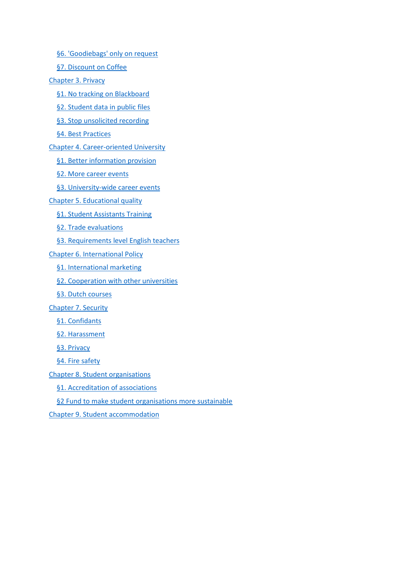[§6. 'Goodiebags' only on request](https://www.translatoruser.net/bvsandbox.aspx?&from=nl&to=en&csId=8e9844b9-23a0-4a61-8589-f0413136304d&usId=3fb7a523-44da-4d56-a368-a69e724a6671&bvrpx=true&bvrpp=&dt=2021%2F3%2F9%2017%3A59#_Toc64667854)

[§7. Discount on Coffee](https://www.translatoruser.net/bvsandbox.aspx?&from=nl&to=en&csId=8e9844b9-23a0-4a61-8589-f0413136304d&usId=3fb7a523-44da-4d56-a368-a69e724a6671&bvrpx=true&bvrpp=&dt=2021%2F3%2F9%2017%3A59#_Toc64667855)

[Chapter 3. Privacy](https://www.translatoruser.net/bvsandbox.aspx?&from=nl&to=en&csId=8e9844b9-23a0-4a61-8589-f0413136304d&usId=3fb7a523-44da-4d56-a368-a69e724a6671&bvrpx=true&bvrpp=&dt=2021%2F3%2F9%2017%3A59#_Toc64667856)

- [§1. No tracking on Blackboard](https://www.translatoruser.net/bvsandbox.aspx?&from=nl&to=en&csId=8e9844b9-23a0-4a61-8589-f0413136304d&usId=3fb7a523-44da-4d56-a368-a69e724a6671&bvrpx=true&bvrpp=&dt=2021%2F3%2F9%2017%3A59#_Toc64667857)
- [§2. Student data in public files](https://www.translatoruser.net/bvsandbox.aspx?&from=nl&to=en&csId=8e9844b9-23a0-4a61-8589-f0413136304d&usId=3fb7a523-44da-4d56-a368-a69e724a6671&bvrpx=true&bvrpp=&dt=2021%2F3%2F9%2017%3A59#_Toc64667858)
- [§3. Stop unsolicited recording](https://www.translatoruser.net/bvsandbox.aspx?&from=nl&to=en&csId=8e9844b9-23a0-4a61-8589-f0413136304d&usId=3fb7a523-44da-4d56-a368-a69e724a6671&bvrpx=true&bvrpp=&dt=2021%2F3%2F9%2017%3A59#_Toc64667859)
- [§4. Best Practices](https://www.translatoruser.net/bvsandbox.aspx?&from=nl&to=en&csId=8e9844b9-23a0-4a61-8589-f0413136304d&usId=3fb7a523-44da-4d56-a368-a69e724a6671&bvrpx=true&bvrpp=&dt=2021%2F3%2F9%2017%3A59#_Toc64667860)

[Chapter 4. Career-oriented University](https://www.translatoruser.net/bvsandbox.aspx?&from=nl&to=en&csId=8e9844b9-23a0-4a61-8589-f0413136304d&usId=3fb7a523-44da-4d56-a368-a69e724a6671&bvrpx=true&bvrpp=&dt=2021%2F3%2F9%2017%3A59#_Toc64667861)

[§1. Better information provision](https://www.translatoruser.net/bvsandbox.aspx?&from=nl&to=en&csId=8e9844b9-23a0-4a61-8589-f0413136304d&usId=3fb7a523-44da-4d56-a368-a69e724a6671&bvrpx=true&bvrpp=&dt=2021%2F3%2F9%2017%3A59#_Toc64667862)

[§2. More career events](https://www.translatoruser.net/bvsandbox.aspx?&from=nl&to=en&csId=8e9844b9-23a0-4a61-8589-f0413136304d&usId=3fb7a523-44da-4d56-a368-a69e724a6671&bvrpx=true&bvrpp=&dt=2021%2F3%2F9%2017%3A59#_Toc64667863)

[§3. University-wide career events](https://www.translatoruser.net/bvsandbox.aspx?&from=nl&to=en&csId=8e9844b9-23a0-4a61-8589-f0413136304d&usId=3fb7a523-44da-4d56-a368-a69e724a6671&bvrpx=true&bvrpp=&dt=2021%2F3%2F9%2017%3A59#_Toc64667864)

[Chapter 5. Educational quality](https://www.translatoruser.net/bvsandbox.aspx?&from=nl&to=en&csId=8e9844b9-23a0-4a61-8589-f0413136304d&usId=3fb7a523-44da-4d56-a368-a69e724a6671&bvrpx=true&bvrpp=&dt=2021%2F3%2F9%2017%3A59#_Toc64667865)

[§1. Student Assistants Training](https://www.translatoruser.net/bvsandbox.aspx?&from=nl&to=en&csId=8e9844b9-23a0-4a61-8589-f0413136304d&usId=3fb7a523-44da-4d56-a368-a69e724a6671&bvrpx=true&bvrpp=&dt=2021%2F3%2F9%2017%3A59#_Toc64667866)

[§2. Trade evaluations](https://www.translatoruser.net/bvsandbox.aspx?&from=nl&to=en&csId=8e9844b9-23a0-4a61-8589-f0413136304d&usId=3fb7a523-44da-4d56-a368-a69e724a6671&bvrpx=true&bvrpp=&dt=2021%2F3%2F9%2017%3A59#_Toc64667867)

[§3. Requirements level English teachers](https://www.translatoruser.net/bvsandbox.aspx?&from=nl&to=en&csId=8e9844b9-23a0-4a61-8589-f0413136304d&usId=3fb7a523-44da-4d56-a368-a69e724a6671&bvrpx=true&bvrpp=&dt=2021%2F3%2F9%2017%3A59#_Toc64667868)

[Chapter 6. International Policy](https://www.translatoruser.net/bvsandbox.aspx?&from=nl&to=en&csId=8e9844b9-23a0-4a61-8589-f0413136304d&usId=3fb7a523-44da-4d56-a368-a69e724a6671&bvrpx=true&bvrpp=&dt=2021%2F3%2F9%2017%3A59#_Toc64667869)

[§1. International marketing](https://www.translatoruser.net/bvsandbox.aspx?&from=nl&to=en&csId=8e9844b9-23a0-4a61-8589-f0413136304d&usId=3fb7a523-44da-4d56-a368-a69e724a6671&bvrpx=true&bvrpp=&dt=2021%2F3%2F9%2017%3A59#_Toc64667870)

[§2. Cooperation with other universities](https://www.translatoruser.net/bvsandbox.aspx?&from=nl&to=en&csId=8e9844b9-23a0-4a61-8589-f0413136304d&usId=3fb7a523-44da-4d56-a368-a69e724a6671&bvrpx=true&bvrpp=&dt=2021%2F3%2F9%2017%3A59#_Toc64667871)

[§3. Dutch courses](https://www.translatoruser.net/bvsandbox.aspx?&from=nl&to=en&csId=8e9844b9-23a0-4a61-8589-f0413136304d&usId=3fb7a523-44da-4d56-a368-a69e724a6671&bvrpx=true&bvrpp=&dt=2021%2F3%2F9%2017%3A59#_Toc64667872)

[Chapter 7. Security](https://www.translatoruser.net/bvsandbox.aspx?&from=nl&to=en&csId=8e9844b9-23a0-4a61-8589-f0413136304d&usId=3fb7a523-44da-4d56-a368-a69e724a6671&bvrpx=true&bvrpp=&dt=2021%2F3%2F9%2017%3A59#_Toc64667873)

[§1. Confidants](https://www.translatoruser.net/bvsandbox.aspx?&from=nl&to=en&csId=8e9844b9-23a0-4a61-8589-f0413136304d&usId=3fb7a523-44da-4d56-a368-a69e724a6671&bvrpx=true&bvrpp=&dt=2021%2F3%2F9%2017%3A59#_Toc64667874)

[§2. Harassment](https://www.translatoruser.net/bvsandbox.aspx?&from=nl&to=en&csId=8e9844b9-23a0-4a61-8589-f0413136304d&usId=3fb7a523-44da-4d56-a368-a69e724a6671&bvrpx=true&bvrpp=&dt=2021%2F3%2F9%2017%3A59#_Toc64667875)

[§3. Privacy](https://www.translatoruser.net/bvsandbox.aspx?&from=nl&to=en&csId=8e9844b9-23a0-4a61-8589-f0413136304d&usId=3fb7a523-44da-4d56-a368-a69e724a6671&bvrpx=true&bvrpp=&dt=2021%2F3%2F9%2017%3A59#_Toc64667876)

[§4. Fire safety](https://www.translatoruser.net/bvsandbox.aspx?&from=nl&to=en&csId=8e9844b9-23a0-4a61-8589-f0413136304d&usId=3fb7a523-44da-4d56-a368-a69e724a6671&bvrpx=true&bvrpp=&dt=2021%2F3%2F9%2017%3A59#_Toc64667877)

[Chapter 8. Student organisations](https://www.translatoruser.net/bvsandbox.aspx?&from=nl&to=en&csId=8e9844b9-23a0-4a61-8589-f0413136304d&usId=3fb7a523-44da-4d56-a368-a69e724a6671&bvrpx=true&bvrpp=&dt=2021%2F3%2F9%2017%3A59#_Toc64667878)

[§1. Accreditation of associations](https://www.translatoruser.net/bvsandbox.aspx?&from=nl&to=en&csId=8e9844b9-23a0-4a61-8589-f0413136304d&usId=3fb7a523-44da-4d56-a368-a69e724a6671&bvrpx=true&bvrpp=&dt=2021%2F3%2F9%2017%3A59#_Toc64667879)

[§2 Fund to make student organisations more sustainable](https://www.translatoruser.net/bvsandbox.aspx?&from=nl&to=en&csId=8e9844b9-23a0-4a61-8589-f0413136304d&usId=3fb7a523-44da-4d56-a368-a69e724a6671&bvrpx=true&bvrpp=&dt=2021%2F3%2F9%2017%3A59#_Toc64667880)

[Chapter 9. Student accommodation](https://www.translatoruser.net/bvsandbox.aspx?&from=nl&to=en&csId=8e9844b9-23a0-4a61-8589-f0413136304d&usId=3fb7a523-44da-4d56-a368-a69e724a6671&bvrpx=true&bvrpp=&dt=2021%2F3%2F9%2017%3A59#_Toc64667881)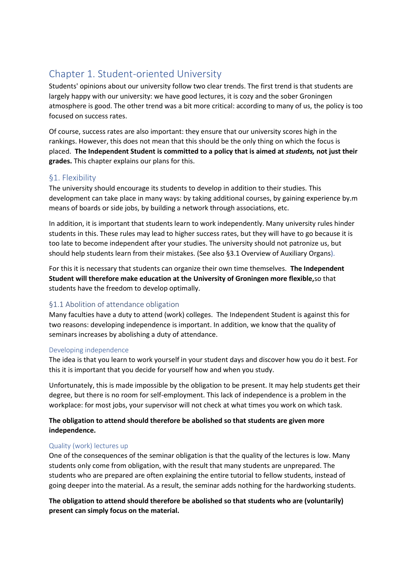# Chapter 1. Student-oriented University

Students' opinions about our university follow two clear trends. The first trend is that students are largely happy with our university: we have good lectures, it is cozy and the sober Groningen atmosphere is good. The other trend was a bit more critical: according to many of us, the policy is too focused on success rates.

Of course, success rates are also important: they ensure that our university scores high in the rankings. However, this does not mean that this should be the only thing on which the focus is placed. **The Independent Student is committed to a policy that is aimed at** *students,* **not just their grades.** This chapter explains our plans for this.

# §1. Flexibility

The university should encourage its students to develop in addition to their studies. This development can take place in many ways: by taking additional courses, by gaining experience by.m means of boards or side jobs, by building a network through associations, etc.

In addition, it is important that students learn to work independently. Many university rules hinder students in this. These rules may lead to higher success rates, but they will have to go because it is too late to become independent after your studies. The university should not patronize us, but should help students learn from their mistakes. (See also §3.1 Overview of Auxiliary Organs).

For this it is necessary that students can organize their own time themselves. **The Independent Student will therefore make education at the University of Groningen more flexible,**so that students have the freedom to develop optimally.

# §1.1 Abolition of attendance obligation

Many faculties have a duty to attend (work) colleges. The Independent Student is against this for two reasons: developing independence is important. In addition, we know that the quality of seminars increases by abolishing a duty of attendance.

### Developing independence

The idea is that you learn to work yourself in your student days and discover how you do it best. For this it is important that you decide for yourself how and when you study.

Unfortunately, this is made impossible by the obligation to be present. It may help students get their degree, but there is no room for self-employment. This lack of independence is a problem in the workplace: for most jobs, your supervisor will not check at what times you work on which task.

# **The obligation to attend should therefore be abolished so that students are given more independence.**

### Quality (work) lectures up

One of the consequences of the seminar obligation is that the quality of the lectures is low. Many students only come from obligation, with the result that many students are unprepared. The students who are prepared are often explaining the entire tutorial to fellow students, instead of going deeper into the material. As a result, the seminar adds nothing for the hardworking students.

**The obligation to attend should therefore be abolished so that students who are (voluntarily) present can simply focus on the material.**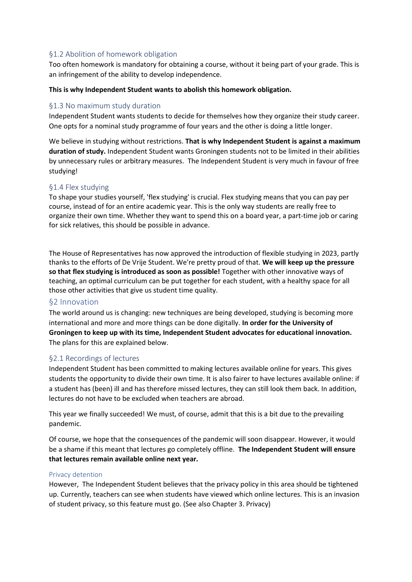### §1.2 Abolition of homework obligation

Too often homework is mandatory for obtaining a course, without it being part of your grade. This is an infringement of the ability to develop independence.

#### **This is why Independent Student wants to abolish this homework obligation.**

#### §1.3 No maximum study duration

Independent Student wants students to decide for themselves how they organize their study career. One opts for a nominal study programme of four years and the other is doing a little longer.

We believe in studying without restrictions. **That is why Independent Student is against a maximum duration of study.** Independent Student wants Groningen students not to be limited in their abilities by unnecessary rules or arbitrary measures. The Independent Student is very much in favour of free studying!

#### §1.4 Flex studying

To shape your studies yourself, 'flex studying' is crucial. Flex studying means that you can pay per course, instead of for an entire academic year. This is the only way students are really free to organize their own time. Whether they want to spend this on a board year, a part-time job or caring for sick relatives, this should be possible in advance.

The House of Representatives has now approved the introduction of flexible studying in 2023, partly thanks to the efforts of De Vrije Student. We're pretty proud of that. **We will keep up the pressure so that flex studying is introduced as soon as possible!** Together with other innovative ways of teaching, an optimal curriculum can be put together for each student, with a healthy space for all those other activities that give us student time quality.

### §2 Innovation

The world around us is changing: new techniques are being developed, studying is becoming more international and more and more things can be done digitally. **In order for the University of Groningen to keep up with its time, Independent Student advocates for educational innovation.** The plans for this are explained below.

### §2.1 Recordings of lectures

Independent Student has been committed to making lectures available online for years. This gives students the opportunity to divide their own time. It is also fairer to have lectures available online: if a student has (been) ill and has therefore missed lectures, they can still look them back. In addition, lectures do not have to be excluded when teachers are abroad.

This year we finally succeeded! We must, of course, admit that this is a bit due to the prevailing pandemic.

Of course, we hope that the consequences of the pandemic will soon disappear. However, it would be a shame if this meant that lectures go completely offline. **The Independent Student will ensure that lectures remain available online next year.**

#### Privacy detention

However, The Independent Student believes that the privacy policy in this area should be tightened up. Currently, teachers can see when students have viewed which online lectures. This is an invasion of student privacy, so this feature must go. (See also Chapter 3. Privacy)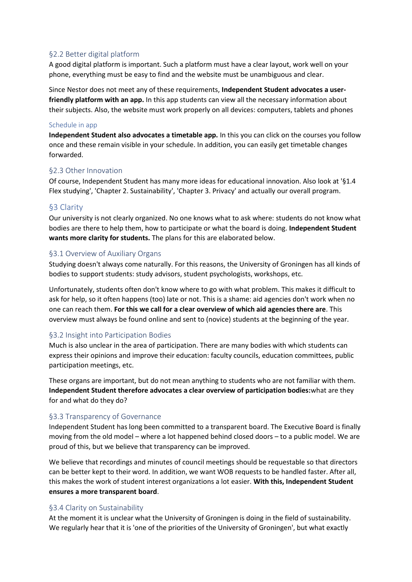### §2.2 Better digital platform

A good digital platform is important. Such a platform must have a clear layout, work well on your phone, everything must be easy to find and the website must be unambiguous and clear.

Since Nestor does not meet any of these requirements, **Independent Student advocates a userfriendly platform with an app.** In this app students can view all the necessary information about their subjects. Also, the website must work properly on all devices: computers, tablets and phones

#### Schedule in app

**Independent Student also advocates a timetable app.** In this you can click on the courses you follow once and these remain visible in your schedule. In addition, you can easily get timetable changes forwarded.

### §2.3 Other Innovation

Of course, Independent Student has many more ideas for educational innovation. Also look at '§1.4 Flex studying', 'Chapter 2. Sustainability', 'Chapter 3. Privacy' and actually our overall program.

# §3 Clarity

Our university is not clearly organized. No one knows what to ask where: students do not know what bodies are there to help them, how to participate or what the board is doing. **Independent Student wants more clarity for students.** The plans for this are elaborated below.

### §3.1 Overview of Auxiliary Organs

Studying doesn't always come naturally. For this reasons, the University of Groningen has all kinds of bodies to support students: study advisors, student psychologists, workshops, etc.

Unfortunately, students often don't know where to go with what problem. This makes it difficult to ask for help, so it often happens (too) late or not. This is a shame: aid agencies don't work when no one can reach them. **For this we call for a clear overview of which aid agencies there are**. This overview must always be found online and sent to (novice) students at the beginning of the year.

### §3.2 Insight into Participation Bodies

Much is also unclear in the area of participation. There are many bodies with which students can express their opinions and improve their education: faculty councils, education committees, public participation meetings, etc.

These organs are important, but do not mean anything to students who are not familiar with them. **Independent Student therefore advocates a clear overview of participation bodies:**what are they for and what do they do?

### §3.3 Transparency of Governance

Independent Student has long been committed to a transparent board. The Executive Board is finally moving from the old model – where a lot happened behind closed doors – to a public model. We are proud of this, but we believe that transparency can be improved.

We believe that recordings and minutes of council meetings should be requestable so that directors can be better kept to their word. In addition, we want WOB requests to be handled faster. After all, this makes the work of student interest organizations a lot easier. **With this, Independent Student ensures a more transparent board**.

### §3.4 Clarity on Sustainability

At the moment it is unclear what the University of Groningen is doing in the field of sustainability. We regularly hear that it is 'one of the priorities of the University of Groningen', but what exactly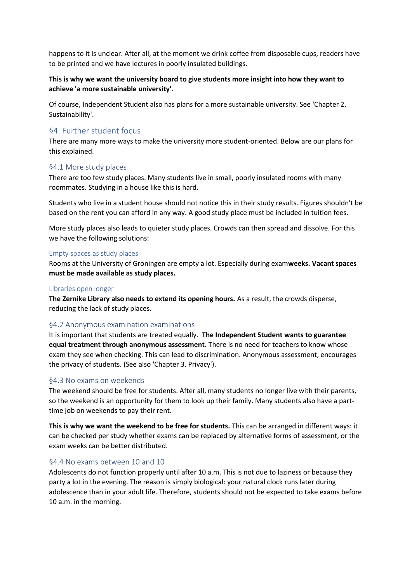happens to it is unclear. After all, at the moment we drink coffee from disposable cups, readers have to be printed and we have lectures in poorly insulated buildings.

### **This is why we want the university board to give students more insight into how they want to achieve 'a more sustainable university'**.

Of course, Independent Student also has plans for a more sustainable university. See 'Chapter 2. Sustainability'.

### §4. Further student focus

There are many more ways to make the university more student-oriented. Below are our plans for this explained.

#### §4.1 More study places

There are too few study places. Many students live in small, poorly insulated rooms with many roommates. Studying in a house like this is hard.

Students who live in a student house should not notice this in their study results. Figures shouldn't be based on the rent you can afford in any way. A good study place must be included in tuition fees.

More study places also leads to quieter study places. Crowds can then spread and dissolve. For this we have the following solutions:

#### Empty spaces as study places

Rooms at the University of Groningen are empty a lot. Especially during exam**weeks. Vacant spaces must be made available as study places.**

#### Libraries open longer

**The Zernike Library also needs to extend its opening hours.** As a result, the crowds disperse, reducing the lack of study places.

### §4.2 Anonymous examination examinations

It is important that students are treated equally. **The Independent Student wants to guarantee equal treatment through anonymous assessment.** There is no need for teachers to know whose exam they see when checking. This can lead to discrimination. Anonymous assessment, encourages the privacy of students. (See also 'Chapter 3. Privacy').

#### §4.3 No exams on weekends

The weekend should be free for students. After all, many students no longer live with their parents, so the weekend is an opportunity for them to look up their family. Many students also have a parttime job on weekends to pay their rent.

**This is why we want the weekend to be free for students.** This can be arranged in different ways: it can be checked per study whether exams can be replaced by alternative forms of assessment, or the exam weeks can be better distributed.

#### §4.4 No exams between 10 and 10

Adolescents do not function properly until after 10 a.m. This is not due to laziness or because they party a lot in the evening. The reason is simply biological: your natural clock runs later during adolescence than in your adult life. Therefore, students should not be expected to take exams before 10 a.m. in the morning.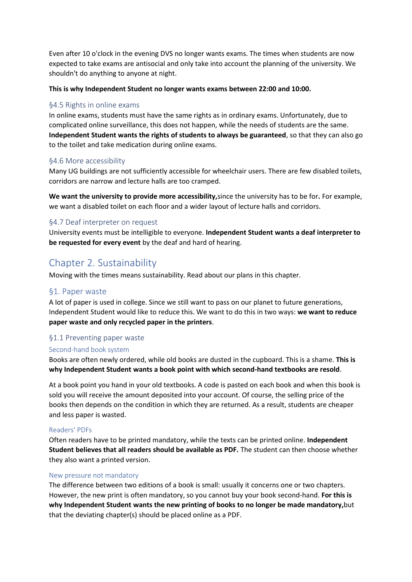Even after 10 o'clock in the evening DVS no longer wants exams. The times when students are now expected to take exams are antisocial and only take into account the planning of the university. We shouldn't do anything to anyone at night.

#### **This is why Independent Student no longer wants exams between 22:00 and 10:00.**

### §4.5 Rights in online exams

In online exams, students must have the same rights as in ordinary exams. Unfortunately, due to complicated online surveillance, this does not happen, while the needs of students are the same. **Independent Student wants the rights of students to always be guaranteed**, so that they can also go to the toilet and take medication during online exams.

#### §4.6 More accessibility

Many UG buildings are not sufficiently accessible for wheelchair users. There are few disabled toilets, corridors are narrow and lecture halls are too cramped.

**We want the university to provide more accessibility,**since the university has to be for**.** For example, we want a disabled toilet on each floor and a wider layout of lecture halls and corridors.

### §4.7 Deaf interpreter on request

University events must be intelligible to everyone. **Independent Student wants a deaf interpreter to be requested for every event** by the deaf and hard of hearing.

# Chapter 2. Sustainability

Moving with the times means sustainability. Read about our plans in this chapter.

### §1. Paper waste

A lot of paper is used in college. Since we still want to pass on our planet to future generations, Independent Student would like to reduce this. We want to do this in two ways: **we want to reduce paper waste and only recycled paper in the printers**.

### §1.1 Preventing paper waste

### Second-hand book system

Books are often newly ordered, while old books are dusted in the cupboard. This is a shame. **This is why Independent Student wants a book point with which second-hand textbooks are resold**.

At a book point you hand in your old textbooks. A code is pasted on each book and when this book is sold you will receive the amount deposited into your account. Of course, the selling price of the books then depends on the condition in which they are returned. As a result, students are cheaper and less paper is wasted.

#### Readers' PDFs

Often readers have to be printed mandatory, while the texts can be printed online. **Independent Student believes that all readers should be available as PDF.** The student can then choose whether they also want a printed version.

### New pressure not mandatory

The difference between two editions of a book is small: usually it concerns one or two chapters. However, the new print is often mandatory, so you cannot buy your book second-hand. **For this is why Independent Student wants the new printing of books to no longer be made mandatory,**but that the deviating chapter(s) should be placed online as a PDF.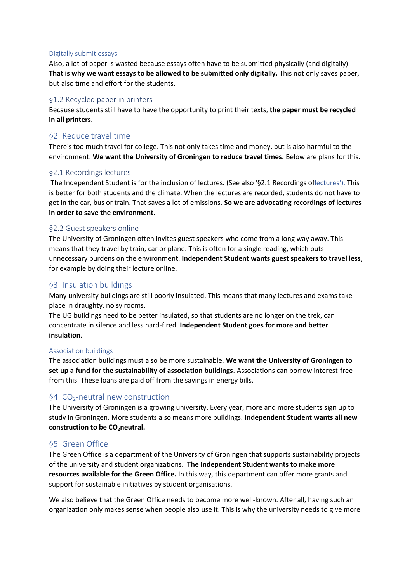#### Digitally submit essays

Also, a lot of paper is wasted because essays often have to be submitted physically (and digitally). **That is why we want essays to be allowed to be submitted only digitally.** This not only saves paper, but also time and effort for the students.

# §1.2 Recycled paper in printers

Because students still have to have the opportunity to print their texts, **the paper must be recycled in all printers.**

# §2. Reduce travel time

There's too much travel for college. This not only takes time and money, but is also harmful to the environment. **We want the University of Groningen to reduce travel times.** Below are plans for this.

# §2.1 Recordings lectures

The Independent Student is for the inclusion of lectures. (See also '§2.1 Recordings oflectures'). This is better for both students and the climate. When the lectures are recorded, students do not have to get in the car, bus or train. That saves a lot of emissions. **So we are advocating recordings of lectures in order to save the environment.**

### §2.2 Guest speakers online

The University of Groningen often invites guest speakers who come from a long way away. This means that they travel by train, car or plane. This is often for a single reading, which puts unnecessary burdens on the environment. **Independent Student wants guest speakers to travel less**, for example by doing their lecture online.

# §3. Insulation buildings

Many university buildings are still poorly insulated. This means that many lectures and exams take place in draughty, noisy rooms.

The UG buildings need to be better insulated, so that students are no longer on the trek, can concentrate in silence and less hard-fired. **Independent Student goes for more and better insulation**.

### Association buildings

The association buildings must also be more sustainable. **We want the University of Groningen to set up a fund for the sustainability of association buildings**. Associations can borrow interest-free from this. These loans are paid off from the savings in energy bills.

# §4.  $CO<sub>2</sub>$ -neutral new construction

The University of Groningen is a growing university. Every year, more and more students sign up to study in Groningen. More students also means more buildings. **Independent Student wants all new construction to be CO2neutral.**

# §5. Green Office

The Green Office is a department of the University of Groningen that supports sustainability projects of the university and student organizations. **The Independent Student wants to make more resources available for the Green Office.** In this way, this department can offer more grants and support for sustainable initiatives by student organisations.

We also believe that the Green Office needs to become more well-known. After all, having such an organization only makes sense when people also use it. This is why the university needs to give more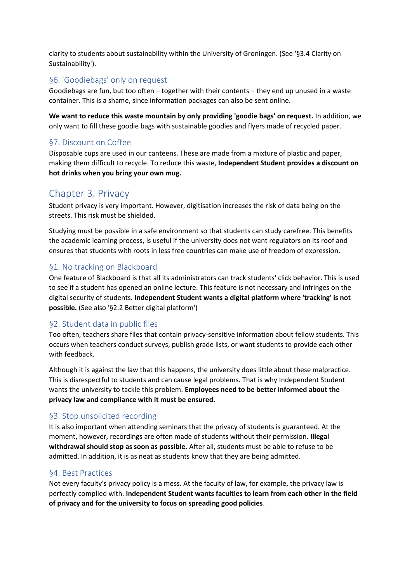clarity to students about sustainability within the University of Groningen. (See '§3.4 Clarity on Sustainability').

# §6. 'Goodiebags' only on request

Goodiebags are fun, but too often – together with their contents – they end up unused in a waste container. This is a shame, since information packages can also be sent online.

**We want to reduce this waste mountain by only providing 'goodie bags' on request.** In addition, we only want to fill these goodie bags with sustainable goodies and flyers made of recycled paper.

# §7. Discount on Coffee

Disposable cups are used in our canteens. These are made from a mixture of plastic and paper, making them difficult to recycle. To reduce this waste, **Independent Student provides a discount on hot drinks when you bring your own mug.**

# Chapter 3. Privacy

Student privacy is very important. However, digitisation increases the risk of data being on the streets. This risk must be shielded.

Studying must be possible in a safe environment so that students can study carefree. This benefits the academic learning process, is useful if the university does not want regulators on its roof and ensures that students with roots in less free countries can make use of freedom of expression.

# §1. No tracking on Blackboard

One feature of Blackboard is that all its administrators can track students' click behavior. This is used to see if a student has opened an online lecture. This feature is not necessary and infringes on the digital security of students. **Independent Student wants a digital platform where 'tracking' is not possible.** (See also '§2.2 Better digital platform')

# §2. Student data in public files

Too often, teachers share files that contain privacy-sensitive information about fellow students. This occurs when teachers conduct surveys, publish grade lists, or want students to provide each other with feedback.

Although it is against the law that this happens, the university does little about these malpractice. This is disrespectful to students and can cause legal problems. That is why Independent Student wants the university to tackle this problem. **Employees need to be better informed about the privacy law and compliance with it must be ensured.**

# §3. Stop unsolicited recording

It is also important when attending seminars that the privacy of students is guaranteed. At the moment, however, recordings are often made of students without their permission. **Illegal withdrawal should stop as soon as possible.** After all, students must be able to refuse to be admitted. In addition, it is as neat as students know that they are being admitted.

# §4. Best Practices

Not every faculty's privacy policy is a mess. At the faculty of law, for example, the privacy law is perfectly complied with. **Independent Student wants faculties to learn from each other in the field of privacy and for the university to focus on spreading good policies**.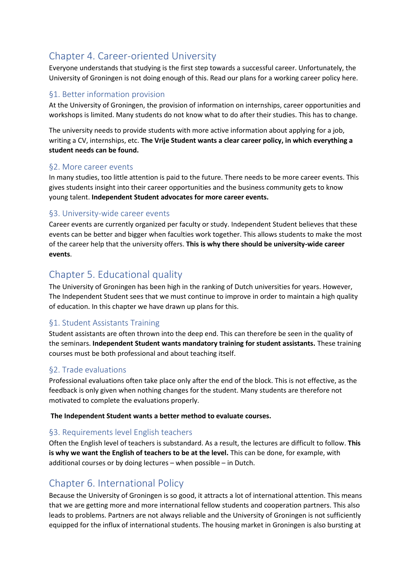# Chapter 4. Career-oriented University

Everyone understands that studying is the first step towards a successful career. Unfortunately, the University of Groningen is not doing enough of this. Read our plans for a working career policy here.

# §1. Better information provision

At the University of Groningen, the provision of information on internships, career opportunities and workshops is limited. Many students do not know what to do after their studies. This has to change.

The university needs to provide students with more active information about applying for a job, writing a CV, internships, etc. **The Vrije Student wants a clear career policy, in which everything a student needs can be found.**

# §2. More career events

In many studies, too little attention is paid to the future. There needs to be more career events. This gives students insight into their career opportunities and the business community gets to know young talent. **Independent Student advocates for more career events.**

# §3. University-wide career events

Career events are currently organized per faculty or study. Independent Student believes that these events can be better and bigger when faculties work together. This allows students to make the most of the career help that the university offers. **This is why there should be university-wide career events**.

# Chapter 5. Educational quality

The University of Groningen has been high in the ranking of Dutch universities for years. However, The Independent Student sees that we must continue to improve in order to maintain a high quality of education. In this chapter we have drawn up plans for this.

# §1. Student Assistants Training

Student assistants are often thrown into the deep end. This can therefore be seen in the quality of the seminars. **Independent Student wants mandatory training for student assistants.** These training courses must be both professional and about teaching itself.

# §2. Trade evaluations

Professional evaluations often take place only after the end of the block. This is not effective, as the feedback is only given when nothing changes for the student. Many students are therefore not motivated to complete the evaluations properly.

### **The Independent Student wants a better method to evaluate courses.**

# §3. Requirements level English teachers

Often the English level of teachers is substandard. As a result, the lectures are difficult to follow. **This is why we want the English of teachers to be at the level.** This can be done, for example, with additional courses or by doing lectures – when possible – in Dutch.

# Chapter 6. International Policy

Because the University of Groningen is so good, it attracts a lot of international attention. This means that we are getting more and more international fellow students and cooperation partners. This also leads to problems. Partners are not always reliable and the University of Groningen is not sufficiently equipped for the influx of international students. The housing market in Groningen is also bursting at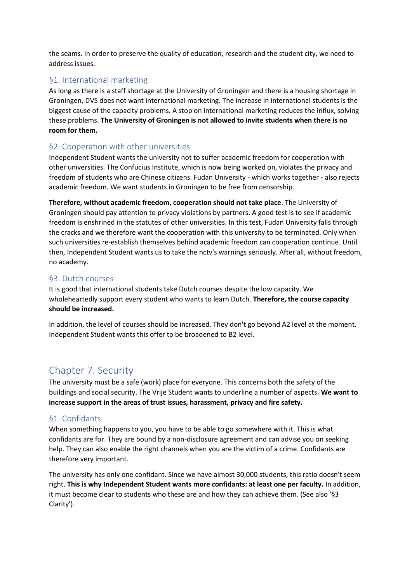the seams. In order to preserve the quality of education, research and the student city, we need to address issues.

# §1. International marketing

As long as there is a staff shortage at the University of Groningen and there is a housing shortage in Groningen, DVS does not want international marketing. The increase in international students is the biggest cause of the capacity problems. A stop on international marketing reduces the influx, solving these problems. **The University of Groningen is not allowed to invite students when there is no room for them.**

# §2. Cooperation with other universities

Independent Student wants the university not to suffer academic freedom for cooperation with other universities. The Confucius Institute, which is now being worked on, violates the privacy and freedom of students who are Chinese citizens. Fudan University - which works together - also rejects academic freedom. We want students in Groningen to be free from censorship.

**Therefore, without academic freedom, cooperation should not take place**. The University of Groningen should pay attention to privacy violations by partners. A good test is to see if academic freedom is enshrined in the statutes of other universities. In this test, Fudan University falls through the cracks and we therefore want the cooperation with this university to be terminated. Only when such universities re-establish themselves behind academic freedom can cooperation continue. Until then, Independent Student wants us to take the nctv's warnings seriously. After all, without freedom, no academy.

# §3. Dutch courses

It is good that international students take Dutch courses despite the low capacity. We wholeheartedly support every student who wants to learn Dutch. **Therefore, the course capacity should be increased.**

In addition, the level of courses should be increased. They don't go beyond A2 level at the moment. Independent Student wants this offer to be broadened to B2 level.

# Chapter 7. Security

The university must be a safe (work) place for everyone. This concerns both the safety of the buildings and social security. The Vrije Student wants to underline a number of aspects. **We want to increase support in the areas of trust issues, harassment, privacy and fire safety.**

# §1. Confidants

When something happens to you, you have to be able to go somewhere with it. This is what confidants are for. They are bound by a non-disclosure agreement and can advise you on seeking help. They can also enable the right channels when you are the victim of a crime. Confidants are therefore very important.

The university has only one confidant. Since we have almost 30,000 students, this ratio doesn't seem right. **This is why Independent Student wants more confidants: at least one per faculty.** In addition, it must become clear to students who these are and how they can achieve them. (See also '§3 Clarity').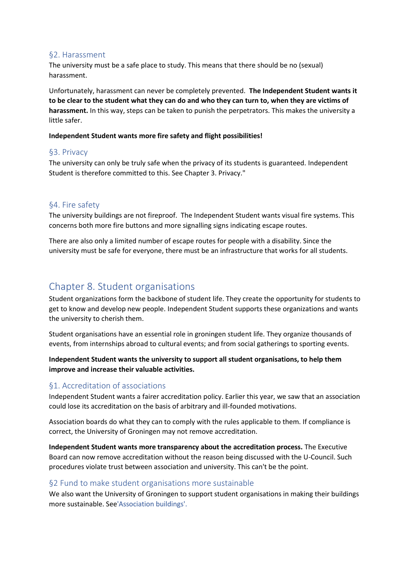### §2. Harassment

The university must be a safe place to study. This means that there should be no (sexual) harassment.

Unfortunately, harassment can never be completely prevented. **The Independent Student wants it to be clear to the student what they can do and who they can turn to, when they are victims of harassment.** In this way, steps can be taken to punish the perpetrators. This makes the university a little safer.

#### **Independent Student wants more fire safety and flight possibilities!**

# §3. Privacy

The university can only be truly safe when the privacy of its students is guaranteed. Independent Student is therefore committed to this. See Chapter 3. Privacy."

# §4. Fire safety

The university buildings are not fireproof. The Independent Student wants visual fire systems. This concerns both more fire buttons and more signalling signs indicating escape routes.

There are also only a limited number of escape routes for people with a disability. Since the university must be safe for everyone, there must be an infrastructure that works for all students.

# Chapter 8. Student organisations

Student organizations form the backbone of student life. They create the opportunity for students to get to know and develop new people. Independent Student supports these organizations and wants the university to cherish them.

Student organisations have an essential role in groningen student life. They organize thousands of events, from internships abroad to cultural events; and from social gatherings to sporting events.

# **Independent Student wants the university to support all student organisations, to help them improve and increase their valuable activities.**

# §1. Accreditation of associations

Independent Student wants a fairer accreditation policy. Earlier this year, we saw that an association could lose its accreditation on the basis of arbitrary and ill-founded motivations.

Association boards do what they can to comply with the rules applicable to them. If compliance is correct, the University of Groningen may not remove accreditation.

**Independent Student wants more transparency about the accreditation process.** The Executive Board can now remove accreditation without the reason being discussed with the U-Council. Such procedures violate trust between association and university. This can't be the point.

# §2 Fund to make student organisations more sustainable

We also want the University of Groningen to support student organisations in making their buildings more sustainable. See'Association buildings'.